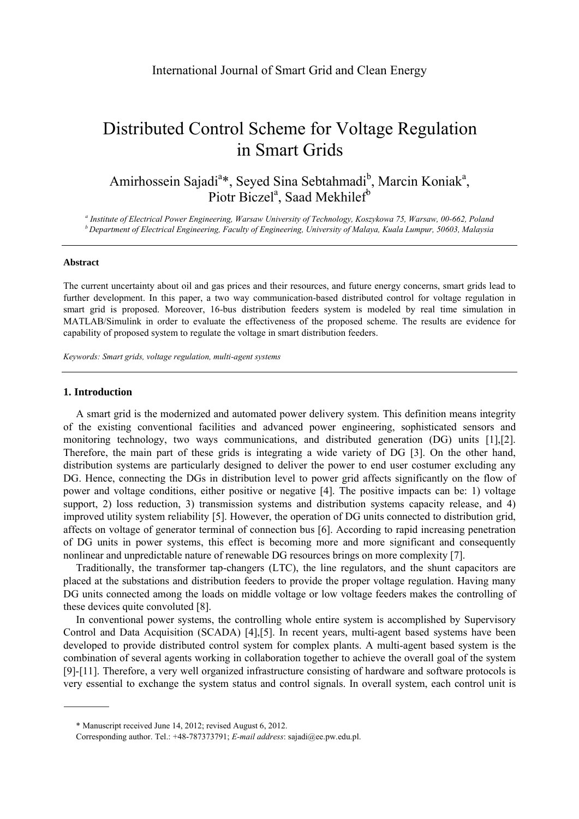# Distributed Control Scheme for Voltage Regulation in Smart Grids

Amirhossein Sajadi<sup>a</sup>\*, Seyed Sina Sebtahmadi<sup>b</sup>, Marcin Koniak<sup>a</sup>, Piotr Biczel<sup>a</sup>, Saad Mekhilef<sup>b</sup>

a Institute of Electrical Power Engineering, Warsaw University of Technology, Koszykowa 75, Warsaw, 00-662, Poland  $b$  Department of Electrical Engineering, Faculty of Engineering, University of Malaya, Kuala Lumpur, 50603, Malaysia

#### **Abstract**

The current uncertainty about oil and gas prices and their resources, and future energy concerns, smart grids lead to further development. In this paper, a two way communication-based distributed control for voltage regulation in smart grid is proposed. Moreover, 16-bus distribution feeders system is modeled by real time simulation in MATLAB/Simulink in order to evaluate the effectiveness of the proposed scheme. The results are evidence for capability of proposed system to regulate the voltage in smart distribution feeders.

*Keywords: Smart grids, voltage regulation, multi-agent systems*

## **1. Introduction**

A smart grid is the modernized and automated power delivery system. This definition means integrity of the existing conventional facilities and advanced power engineering, sophisticated sensors and monitoring technology, two ways communications, and distributed generation (DG) units [1],[2]. Therefore, the main part of these grids is integrating a wide variety of DG [3]. On the other hand, distribution systems are particularly designed to deliver the power to end user costumer excluding any DG. Hence, connecting the DGs in distribution level to power grid affects significantly on the flow of power and voltage conditions, either positive or negative [4]. The positive impacts can be: 1) voltage support, 2) loss reduction, 3) transmission systems and distribution systems capacity release, and 4) improved utility system reliability [5]. However, the operation of DG units connected to distribution grid, affects on voltage of generator terminal of connection bus [6]. According to rapid increasing penetration of DG units in power systems, this effect is becoming more and more significant and consequently nonlinear and unpredictable nature of renewable DG resources brings on more complexity [7].

Traditionally, the transformer tap-changers (LTC), the line regulators, and the shunt capacitors are placed at the substations and distribution feeders to provide the proper voltage regulation. Having many DG units connected among the loads on middle voltage or low voltage feeders makes the controlling of these devices quite convoluted [8].

In conventional power systems, the controlling whole entire system is accomplished by Supervisory Control and Data Acquisition (SCADA) [4],[5]. In recent years, multi-agent based systems have been developed to provide distributed control system for complex plants. A multi-agent based system is the combination of several agents working in collaboration together to achieve the overall goal of the system [9]-[11]. Therefore, a very well organized infrastructure consisting of hardware and software protocols is very essential to exchange the system status and control signals. In overall system, each control unit is

<sup>\*</sup> Manuscript received June 14, 2012; revised August 6, 2012.

Corresponding author. Tel.: +48-787373791; *E-mail address*: sajadi@ee.pw.edu.pl.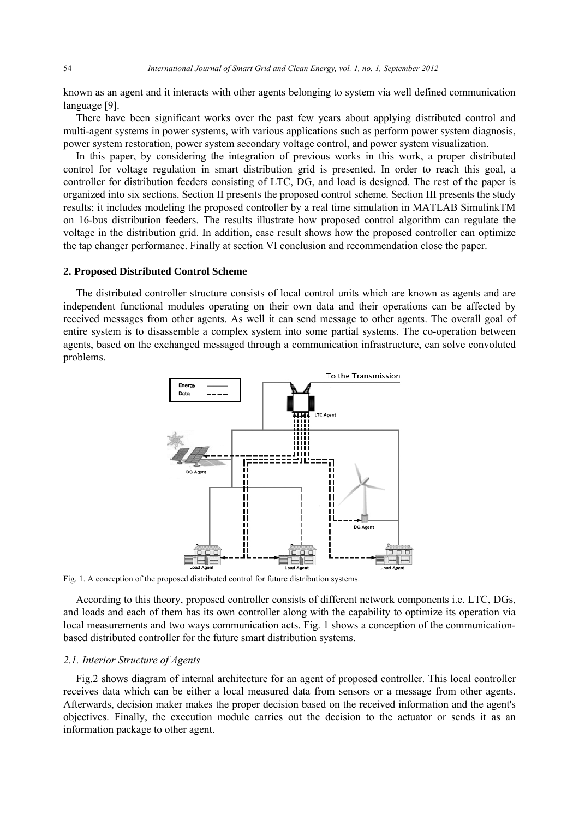known as an agent and it interacts with other agents belonging to system via well defined communication language [9].

There have been significant works over the past few years about applying distributed control and multi-agent systems in power systems, with various applications such as perform power system diagnosis, power system restoration, power system secondary voltage control, and power system visualization.

In this paper, by considering the integration of previous works in this work, a proper distributed control for voltage regulation in smart distribution grid is presented. In order to reach this goal, a controller for distribution feeders consisting of LTC, DG, and load is designed. The rest of the paper is organized into six sections. Section II presents the proposed control scheme. Section III presents the study results; it includes modeling the proposed controller by a real time simulation in MATLAB SimulinkTM on 16-bus distribution feeders. The results illustrate how proposed control algorithm can regulate the voltage in the distribution grid. In addition, case result shows how the proposed controller can optimize the tap changer performance. Finally at section VI conclusion and recommendation close the paper.

## **2. Proposed Distributed Control Scheme**

The distributed controller structure consists of local control units which are known as agents and are independent functional modules operating on their own data and their operations can be affected by received messages from other agents. As well it can send message to other agents. The overall goal of entire system is to disassemble a complex system into some partial systems. The co-operation between agents, based on the exchanged messaged through a communication infrastructure, can solve convoluted problems.



Fig. 1. A conception of the proposed distributed control for future distribution systems.

According to this theory, proposed controller consists of different network components i.e. LTC, DGs, and loads and each of them has its own controller along with the capability to optimize its operation via local measurements and two ways communication acts. Fig. 1 shows a conception of the communicationbased distributed controller for the future smart distribution systems.

## *2.1. Interior Structure of Agents*

Fig.2 shows diagram of internal architecture for an agent of proposed controller. This local controller receives data which can be either a local measured data from sensors or a message from other agents. Afterwards, decision maker makes the proper decision based on the received information and the agent's objectives. Finally, the execution module carries out the decision to the actuator or sends it as an information package to other agent.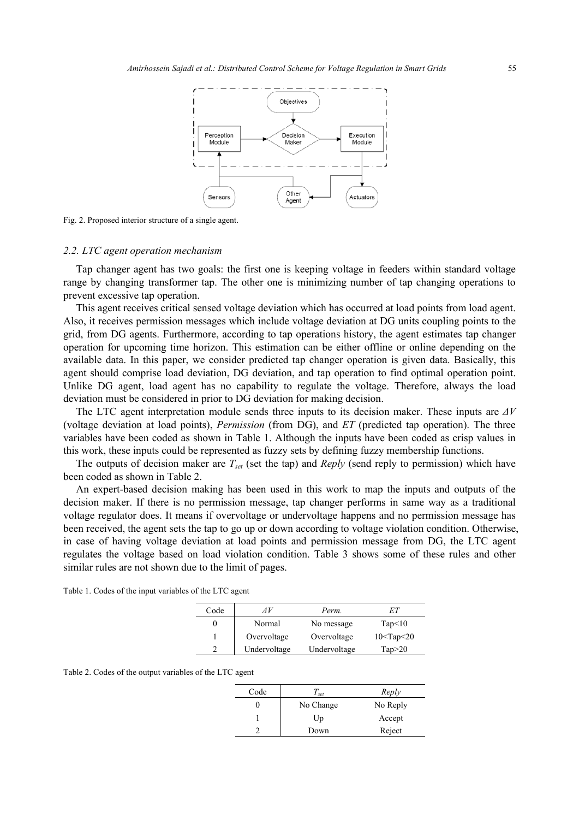

Fig. 2. Proposed interior structure of a single agent.

#### *2.2. LTC agent operation mechanism*

Tap changer agent has two goals: the first one is keeping voltage in feeders within standard voltage range by changing transformer tap. The other one is minimizing number of tap changing operations to prevent excessive tap operation.

This agent receives critical sensed voltage deviation which has occurred at load points from load agent. Also, it receives permission messages which include voltage deviation at DG units coupling points to the grid, from DG agents. Furthermore, according to tap operations history, the agent estimates tap changer operation for upcoming time horizon. This estimation can be either offline or online depending on the available data. In this paper, we consider predicted tap changer operation is given data. Basically, this agent should comprise load deviation, DG deviation, and tap operation to find optimal operation point. Unlike DG agent, load agent has no capability to regulate the voltage. Therefore, always the load deviation must be considered in prior to DG deviation for making decision.

The LTC agent interpretation module sends three inputs to its decision maker. These inputs are *ΔV* (voltage deviation at load points), *Permission* (from DG), and *ET* (predicted tap operation). The three variables have been coded as shown in Table 1. Although the inputs have been coded as crisp values in this work, these inputs could be represented as fuzzy sets by defining fuzzy membership functions.

The outputs of decision maker are  $T_{set}$  (set the tap) and *Reply* (send reply to permission) which have been coded as shown in Table 2.

An expert-based decision making has been used in this work to map the inputs and outputs of the decision maker. If there is no permission message, tap changer performs in same way as a traditional voltage regulator does. It means if overvoltage or undervoltage happens and no permission message has been received, the agent sets the tap to go up or down according to voltage violation condition. Otherwise, in case of having voltage deviation at load points and permission message from DG, the LTC agent regulates the voltage based on load violation condition. Table 3 shows some of these rules and other similar rules are not shown due to the limit of pages.

| Code | ΛV           | Perm.        |                  |
|------|--------------|--------------|------------------|
| O    | Normal       | No message   | Tap<10           |
|      | Overvoltage  | Overvoltage  | $10<$ Tap $<$ 20 |
|      | Undervoltage | Undervoltage | Tap > 20         |

Table 1. Codes of the input variables of the LTC agent

|  | Table 2. Codes of the output variables of the LTC agent |  |  |
|--|---------------------------------------------------------|--|--|
|  |                                                         |  |  |

| Code | $\perp$ set | Reply    |
|------|-------------|----------|
|      | No Change   | No Reply |
|      | Up          | Accept   |
|      | Down        | Reject   |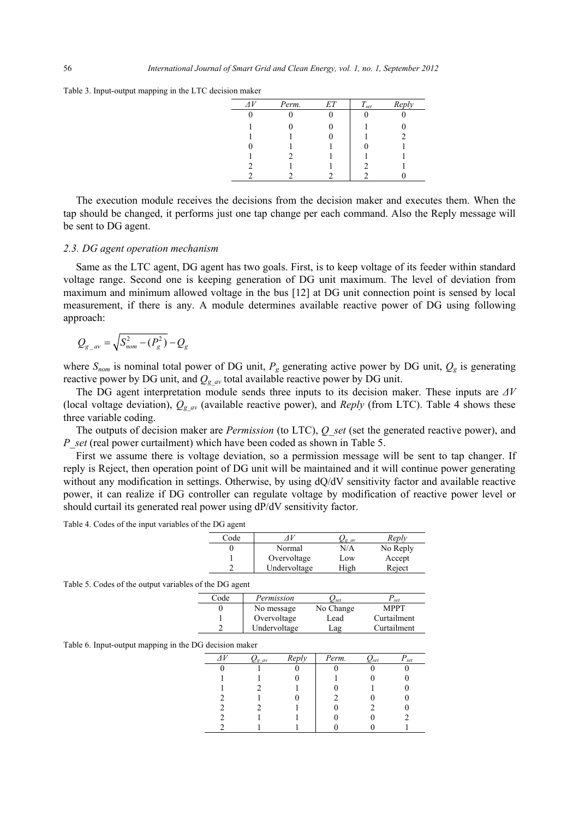Table 3. Input-output mapping in the LTC decision maker

| $\Lambda V$ | Perm. | ET | $T_{\mathit{set}}$ | Reply |
|-------------|-------|----|--------------------|-------|
|             |       |    |                    |       |
|             |       |    |                    |       |
|             |       |    |                    |       |
|             |       |    |                    |       |
|             |       |    |                    |       |
|             |       |    |                    |       |
|             |       |    |                    |       |

The execution module receives the decisions from the decision maker and executes them. When the tap should be changed, it performs just one tap change per each command. Also the Reply message will be sent to DG agent.

#### *2.3. DG agent operation mechanism*

Same as the LTC agent, DG agent has two goals. First, is to keep voltage of its feeder within standard voltage range. Second one is keeping generation of DG unit maximum. The level of deviation from maximum and minimum allowed voltage in the bus [12] at DG unit connection point is sensed by local measurement, if there is any. A module determines available reactive power of DG using following approach:

$$
Q_{g_{-}av} = \sqrt{S_{nom}^2 - (P_g^2)} - Q_g
$$

where  $S_{nom}$  is nominal total power of DG unit,  $P_g$  generating active power by DG unit,  $Q_g$  is generating reactive power by DG unit, and  $Q_{gav}$  total available reactive power by DG unit.

The DG agent interpretation module sends three inputs to its decision maker. These inputs are *ΔV* (local voltage deviation),  $Q_{gav}$  (available reactive power), and *Reply* (from LTC). Table 4 shows these three variable coding.

The outputs of decision maker are *Permission* (to LTC), *Q\_set* (set the generated reactive power), and *P\_set* (real power curtailment) which have been coded as shown in Table 5.

First we assume there is voltage deviation, so a permission message will be sent to tap changer. If reply is Reject, then operation point of DG unit will be maintained and it will continue power generating without any modification in settings. Otherwise, by using  $dQ/dV$  sensitivity factor and available reactive power, it can realize if DG controller can regulate voltage by modification of reactive power level or should curtail its generated real power using dP/dV sensitivity factor.

Table 4. Codes of the input variables of the DG agent

| Code | 4 V          | $\mathcal{Q}_{gav}$ | Reply    |
|------|--------------|---------------------|----------|
|      | Normal       | N/A                 | No Reply |
|      | Overvoltage  | Low                 | Accept   |
|      | Undervoltage | High                | Reject   |

Table 5. Codes of the output variables of the DG agent

| Code | Permission   | $\mathcal{L}_{set}$ | set         |
|------|--------------|---------------------|-------------|
|      | No message   | No Change           | <b>MPPT</b> |
|      | Overvoltage  | Lead                | Curtailment |
| ◠    | Undervoltage | Lag                 | Curtailment |

Table 6. Input-output mapping in the DG decision maker

| 'g av | Reply | Perm. | $\mathcal{L}_{set}$ | set |
|-------|-------|-------|---------------------|-----|
|       |       |       |                     |     |
|       |       |       |                     |     |
|       |       |       |                     |     |
|       |       |       |                     |     |
|       |       |       |                     |     |
|       |       |       |                     |     |
|       |       |       |                     |     |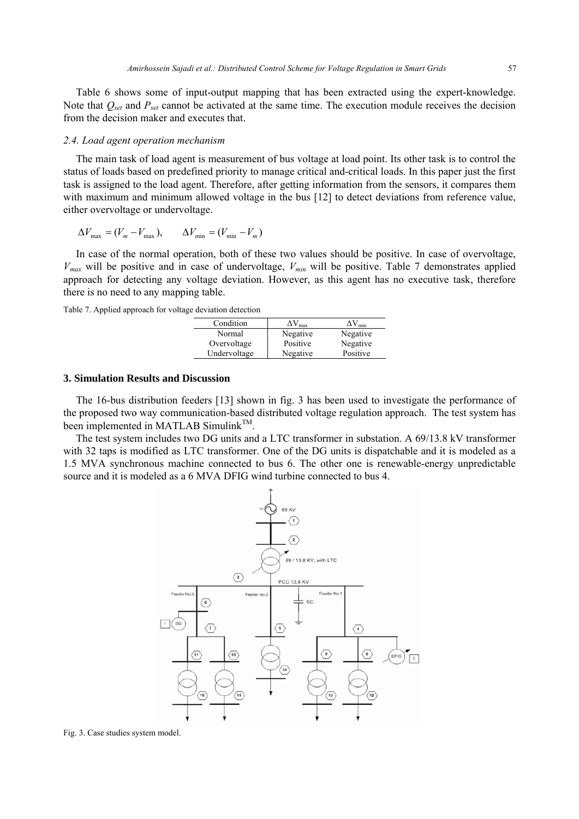Table 6 shows some of input-output mapping that has been extracted using the expert-knowledge. Note that  $Q_{set}$  and  $P_{set}$  cannot be activated at the same time. The execution module receives the decision from the decision maker and executes that.

### *2.4. Load agent operation mechanism*

The main task of load agent is measurement of bus voltage at load point. Its other task is to control the status of loads based on predefined priority to manage critical and-critical loads. In this paper just the first task is assigned to the load agent. Therefore, after getting information from the sensors, it compares them with maximum and minimum allowed voltage in the bus [12] to detect deviations from reference value, either overvoltage or undervoltage.

$$
\Delta V_{\text{max}} = (V_m - V_{\text{max}}), \qquad \Delta V_{\text{min}} = (V_{\text{min}} - V_m)
$$

In case of the normal operation, both of these two values should be positive. In case of overvoltage,  $V_{max}$  will be positive and in case of undervoltage,  $V_{min}$  will be positive. Table 7 demonstrates applied approach for detecting any voltage deviation. However, as this agent has no executive task, therefore there is no need to any mapping table.

Table 7. Applied approach for voltage deviation detection

| Condition    | $\Delta V_{\rm max}$ | $\Delta V_{min}$ |
|--------------|----------------------|------------------|
| Normal       | Negative             | Negative         |
| Overvoltage  | Positive             | Negative         |
| Undervoltage | Negative             | Positive         |
|              |                      |                  |

## **3. Simulation Results and Discussion**

The 16-bus distribution feeders [13] shown in fig. 3 has been used to investigate the performance of the proposed two way communication-based distributed voltage regulation approach. The test system has been implemented in MATLAB Simulink<sup>TM</sup>.

The test system includes two DG units and a LTC transformer in substation. A 69/13.8 kV transformer with 32 taps is modified as LTC transformer. One of the DG units is dispatchable and it is modeled as a 1.5 MVA synchronous machine connected to bus 6. The other one is renewable-energy unpredictable source and it is modeled as a 6 MVA DFIG wind turbine connected to bus 4.



Fig. 3. Case studies system model.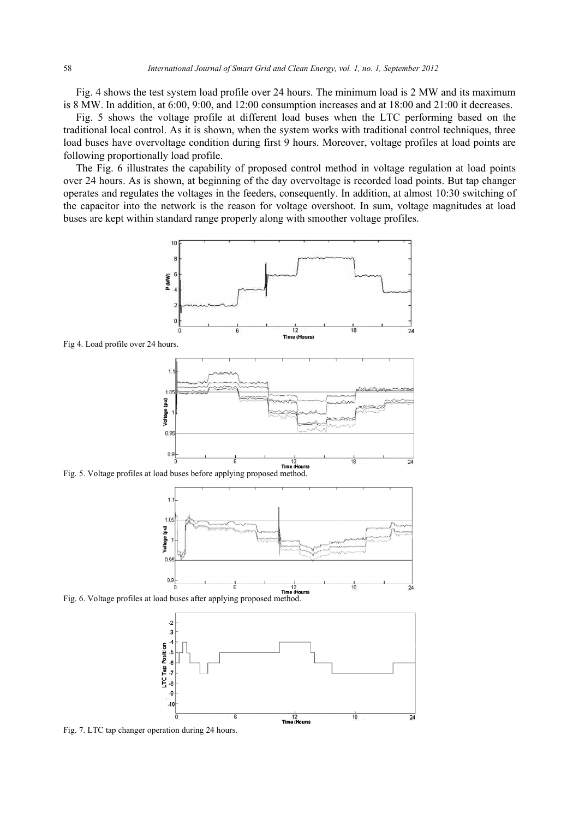Fig. 4 shows the test system load profile over 24 hours. The minimum load is 2 MW and its maximum is 8 MW. In addition, at 6:00, 9:00, and 12:00 consumption increases and at 18:00 and 21:00 it decreases.

Fig. 5 shows the voltage profile at different load buses when the LTC performing based on the traditional local control. As it is shown, when the system works with traditional control techniques, three load buses have overvoltage condition during first 9 hours. Moreover, voltage profiles at load points are following proportionally load profile.

The Fig. 6 illustrates the capability of proposed control method in voltage regulation at load points over 24 hours. As is shown, at beginning of the day overvoltage is recorded load points. But tap changer operates and regulates the voltages in the feeders, consequently. In addition, at almost 10:30 switching of the capacitor into the network is the reason for voltage overshoot. In sum, voltage magnitudes at load buses are kept within standard range properly along with smoother voltage profiles.



Fig 4. Load profile over 24 hours.



Fig. 5. Voltage profiles at load buses before applying proposed method.







Fig. 7. LTC tap changer operation during 24 hours.